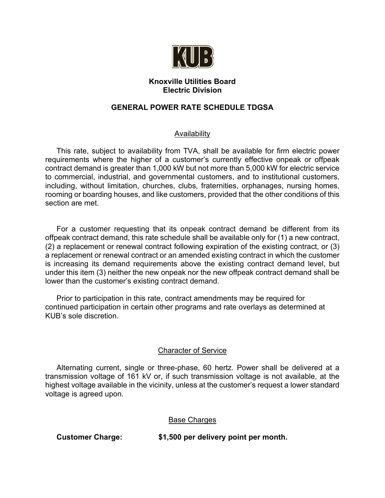

# **Knoxville Utilities Board Electric Division**

# **GENERAL POWER RATE SCHEDULE TDGSA**

# Availability

This rate, subject to availability from TVA, shall be available for firm electric power requirements where the higher of a customer's currently effective onpeak or offpeak contract demand is greater than 1,000 kW but not more than 5,000 kW for electric service to commercial, industrial, and governmental customers, and to institutional customers, including, without limitation, churches, clubs, fraternities, orphanages, nursing homes, rooming or boarding houses, and like customers, provided that the other conditions of this section are met.

For a customer requesting that its onpeak contract demand be different from its offpeak contract demand, this rate schedule shall be available only for (1) a new contract, (2) a replacement or renewal contract following expiration of the existing contract, or (3) a replacement or renewal contract or an amended existing contract in which the customer is increasing its demand requirements above the existing contract demand level, but under this item (3) neither the new onpeak nor the new offpeak contract demand shall be lower than the customer's existing contract demand.

Prior to participation in this rate, contract amendments may be required for continued participation in certain other programs and rate overlays as determined at KUB's sole discretion.

# Character of Service

Alternating current, single or three-phase, 60 hertz. Power shall be delivered at a transmission voltage of 161 kV or, if such transmission voltage is not available, at the highest voltage available in the vicinity, unless at the customer's request a lower standard voltage is agreed upon.

Base Charges

**Customer Charge: \$1,500 per delivery point per month.**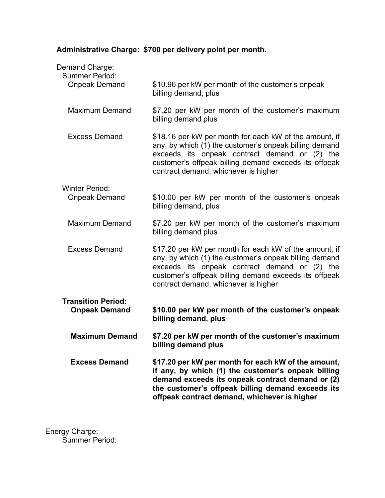# **Administrative Charge: \$700 per delivery point per month.**

| exceeds its onpeak contract demand or (2) the<br>customer's offpeak billing demand exceeds its offpeak<br>contract demand, whichever is higher<br>\$10.00 per kW per month of the customer's onpeak<br>\$7.20 per kW per month of the customer's maximum           |
|--------------------------------------------------------------------------------------------------------------------------------------------------------------------------------------------------------------------------------------------------------------------|
|                                                                                                                                                                                                                                                                    |
|                                                                                                                                                                                                                                                                    |
| \$17.20 per kW per month for each kW of the amount, if<br>any, by which (1) the customer's onpeak billing demand                                                                                                                                                   |
| \$7.20 per kW per month of the customer's maximum                                                                                                                                                                                                                  |
| \$10.00 per kW per month of the customer's onpeak                                                                                                                                                                                                                  |
| \$18.16 per kW per month for each kW of the amount, if<br>any, by which (1) the customer's onpeak billing demand<br>exceeds its onpeak contract demand or (2) the<br>customer's offpeak billing demand exceeds its offpeak<br>contract demand, whichever is higher |
| \$7.20 per kW per month of the customer's maximum                                                                                                                                                                                                                  |
| \$10.96 per kW per month of the customer's onpeak                                                                                                                                                                                                                  |
|                                                                                                                                                                                                                                                                    |

Energy Charge: Summer Period: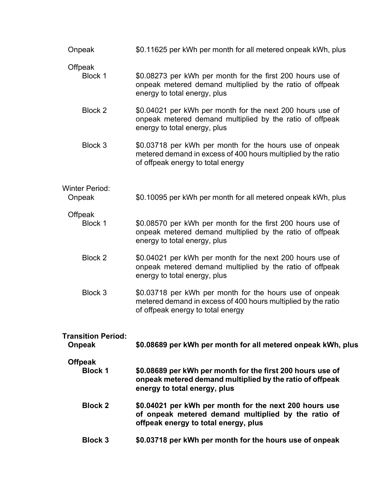| Onpeak                                     | \$0.11625 per kWh per month for all metered onpeak kWh, plus                                                                                                  |
|--------------------------------------------|---------------------------------------------------------------------------------------------------------------------------------------------------------------|
| Offpeak<br>Block 1                         | \$0.08273 per kWh per month for the first 200 hours use of<br>onpeak metered demand multiplied by the ratio of offpeak<br>energy to total energy, plus        |
| Block 2                                    | \$0.04021 per kWh per month for the next 200 hours use of<br>onpeak metered demand multiplied by the ratio of offpeak<br>energy to total energy, plus         |
| Block 3                                    | \$0.03718 per kWh per month for the hours use of onpeak<br>metered demand in excess of 400 hours multiplied by the ratio<br>of offpeak energy to total energy |
| <b>Winter Period:</b><br>Onpeak            | \$0.10095 per kWh per month for all metered onpeak kWh, plus                                                                                                  |
| Offpeak<br>Block 1                         | \$0.08570 per kWh per month for the first 200 hours use of<br>onpeak metered demand multiplied by the ratio of offpeak<br>energy to total energy, plus        |
| Block 2                                    | \$0.04021 per kWh per month for the next 200 hours use of<br>onpeak metered demand multiplied by the ratio of offpeak<br>energy to total energy, plus         |
| Block 3                                    | \$0.03718 per kWh per month for the hours use of onpeak<br>metered demand in excess of 400 hours multiplied by the ratio<br>of offpeak energy to total energy |
| <b>Transition Period:</b><br><b>Onpeak</b> | \$0.08689 per kWh per month for all metered onpeak kWh, plus                                                                                                  |
| <b>Offpeak</b><br><b>Block 1</b>           | \$0.08689 per kWh per month for the first 200 hours use of<br>onpeak metered demand multiplied by the ratio of offpeak<br>energy to total energy, plus        |
| <b>Block 2</b>                             | \$0.04021 per kWh per month for the next 200 hours use<br>of onpeak metered demand multiplied by the ratio of<br>offpeak energy to total energy, plus         |
| <b>Block 3</b>                             | \$0.03718 per kWh per month for the hours use of onpeak                                                                                                       |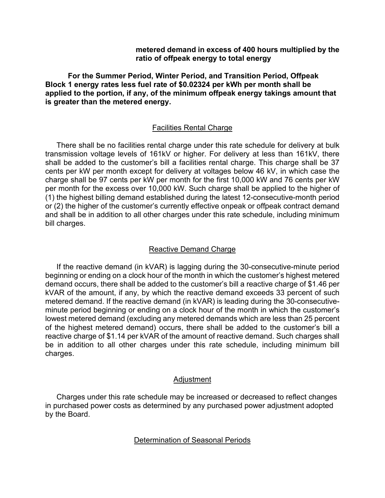# **metered demand in excess of 400 hours multiplied by the ratio of offpeak energy to total energy**

**For the Summer Period, Winter Period, and Transition Period, Offpeak Block 1 energy rates less fuel rate of \$0.02324 per kWh per month shall be applied to the portion, if any, of the minimum offpeak energy takings amount that is greater than the metered energy.**

# Facilities Rental Charge

There shall be no facilities rental charge under this rate schedule for delivery at bulk transmission voltage levels of 161kV or higher. For delivery at less than 161kV, there shall be added to the customer's bill a facilities rental charge. This charge shall be 37 cents per kW per month except for delivery at voltages below 46 kV, in which case the charge shall be 97 cents per kW per month for the first 10,000 kW and 76 cents per kW per month for the excess over 10,000 kW. Such charge shall be applied to the higher of (1) the highest billing demand established during the latest 12-consecutive-month period or (2) the higher of the customer's currently effective onpeak or offpeak contract demand and shall be in addition to all other charges under this rate schedule, including minimum bill charges.

# Reactive Demand Charge

If the reactive demand (in kVAR) is lagging during the 30-consecutive-minute period beginning or ending on a clock hour of the month in which the customer's highest metered demand occurs, there shall be added to the customer's bill a reactive charge of \$1.46 per kVAR of the amount, if any, by which the reactive demand exceeds 33 percent of such metered demand. If the reactive demand (in kVAR) is leading during the 30-consecutiveminute period beginning or ending on a clock hour of the month in which the customer's lowest metered demand (excluding any metered demands which are less than 25 percent of the highest metered demand) occurs, there shall be added to the customer's bill a reactive charge of \$1.14 per kVAR of the amount of reactive demand. Such charges shall be in addition to all other charges under this rate schedule, including minimum bill charges.

#### Adjustment

Charges under this rate schedule may be increased or decreased to reflect changes in purchased power costs as determined by any purchased power adjustment adopted by the Board.

# Determination of Seasonal Periods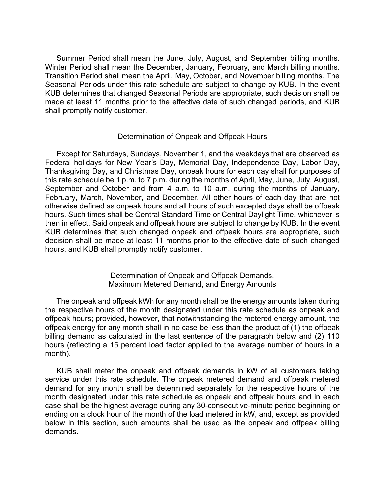Summer Period shall mean the June, July, August, and September billing months. Winter Period shall mean the December, January, February, and March billing months. Transition Period shall mean the April, May, October, and November billing months. The Seasonal Periods under this rate schedule are subject to change by KUB. In the event KUB determines that changed Seasonal Periods are appropriate, such decision shall be made at least 11 months prior to the effective date of such changed periods, and KUB shall promptly notify customer.

# Determination of Onpeak and Offpeak Hours

Except for Saturdays, Sundays, November 1, and the weekdays that are observed as Federal holidays for New Year's Day, Memorial Day, Independence Day, Labor Day, Thanksgiving Day, and Christmas Day, onpeak hours for each day shall for purposes of this rate schedule be 1 p.m. to 7 p.m. during the months of April, May, June, July, August, September and October and from 4 a.m. to 10 a.m. during the months of January, February, March, November, and December. All other hours of each day that are not otherwise defined as onpeak hours and all hours of such excepted days shall be offpeak hours. Such times shall be Central Standard Time or Central Daylight Time, whichever is then in effect. Said onpeak and offpeak hours are subject to change by KUB. In the event KUB determines that such changed onpeak and offpeak hours are appropriate, such decision shall be made at least 11 months prior to the effective date of such changed hours, and KUB shall promptly notify customer.

# Determination of Onpeak and Offpeak Demands, Maximum Metered Demand, and Energy Amounts

The onpeak and offpeak kWh for any month shall be the energy amounts taken during the respective hours of the month designated under this rate schedule as onpeak and offpeak hours; provided, however, that notwithstanding the metered energy amount, the offpeak energy for any month shall in no case be less than the product of (1) the offpeak billing demand as calculated in the last sentence of the paragraph below and (2) 110 hours (reflecting a 15 percent load factor applied to the average number of hours in a month).

KUB shall meter the onpeak and offpeak demands in kW of all customers taking service under this rate schedule. The onpeak metered demand and offpeak metered demand for any month shall be determined separately for the respective hours of the month designated under this rate schedule as onpeak and offpeak hours and in each case shall be the highest average during any 30-consecutive-minute period beginning or ending on a clock hour of the month of the load metered in kW, and, except as provided below in this section, such amounts shall be used as the onpeak and offpeak billing demands.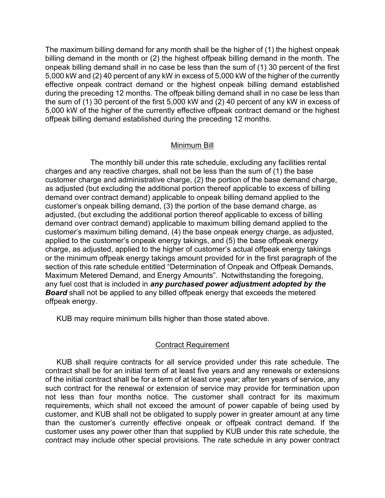The maximum billing demand for any month shall be the higher of (1) the highest onpeak billing demand in the month or (2) the highest offpeak billing demand in the month. The onpeak billing demand shall in no case be less than the sum of (1) 30 percent of the first 5,000 kW and (2) 40 percent of any kW in excess of 5,000 kW of the higher of the currently effective onpeak contract demand or the highest onpeak billing demand established during the preceding 12 months. The offpeak billing demand shall in no case be less than the sum of (1) 30 percent of the first 5,000 kW and (2) 40 percent of any kW in excess of 5,000 kW of the higher of the currently effective offpeak contract demand or the highest offpeak billing demand established during the preceding 12 months.

# Minimum Bill

The monthly bill under this rate schedule, excluding any facilities rental charges and any reactive charges, shall not be less than the sum of (1) the base customer charge and administrative charge, (2) the portion of the base demand charge, as adjusted (but excluding the additional portion thereof applicable to excess of billing demand over contract demand) applicable to onpeak billing demand applied to the customer's onpeak billing demand, (3) the portion of the base demand charge, as adjusted, (but excluding the additional portion thereof applicable to excess of billing demand over contract demand) applicable to maximum billing demand applied to the customer's maximum billing demand, (4) the base onpeak energy charge, as adjusted, applied to the customer's onpeak energy takings, and (5) the base offpeak energy charge, as adjusted, applied to the higher of customer's actual offpeak energy takings or the minimum offpeak energy takings amount provided for in the first paragraph of the section of this rate schedule entitled "Determination of Onpeak and Offpeak Demands, Maximum Metered Demand, and Energy Amounts". Notwithstanding the foregoing, any fuel cost that is included in *any purchased power adjustment adopted by the Board* shall not be applied to any billed offpeak energy that exceeds the metered offpeak energy.

KUB may require minimum bills higher than those stated above.

# Contract Requirement

KUB shall require contracts for all service provided under this rate schedule. The contract shall be for an initial term of at least five years and any renewals or extensions of the initial contract shall be for a term of at least one year; after ten years of service, any such contract for the renewal or extension of service may provide for termination upon not less than four months notice. The customer shall contract for its maximum requirements, which shall not exceed the amount of power capable of being used by customer, and KUB shall not be obligated to supply power in greater amount at any time than the customer's currently effective onpeak or offpeak contract demand. If the customer uses any power other than that supplied by KUB under this rate schedule, the contract may include other special provisions. The rate schedule in any power contract